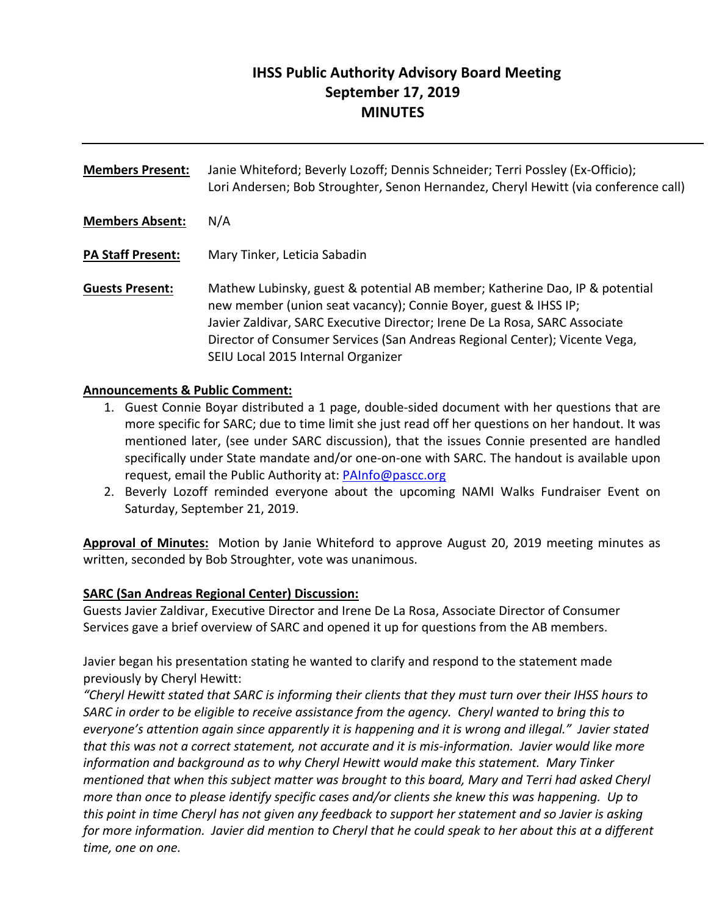# **IHSS Public Authority Advisory Board Meeting September 17, 2019 MINUTES**

**Members Present:** Janie Whiteford; Beverly Lozoff; Dennis Schneider; Terri Possley (Ex‐Officio); Lori Andersen; Bob Stroughter, Senon Hernandez, Cheryl Hewitt (via conference call) **Members Absent:** N/A **PA Staff Present:** Mary Tinker, Leticia Sabadin **Guests Present:** Mathew Lubinsky, guest & potential AB member; Katherine Dao, IP & potential new member (union seat vacancy); Connie Boyer, guest & IHSS IP; Javier Zaldivar, SARC Executive Director; Irene De La Rosa, SARC Associate Director of Consumer Services (San Andreas Regional Center); Vicente Vega, SEIU Local 2015 Internal Organizer

## **Announcements & Public Comment:**

- 1. Guest Connie Boyar distributed a 1 page, double-sided document with her questions that are more specific for SARC; due to time limit she just read off her questions on her handout. It was mentioned later, (see under SARC discussion), that the issues Connie presented are handled specifically under State mandate and/or one-on-one with SARC. The handout is available upon request, email the Public Authority at: PAInfo@pascc.org
- 2. Beverly Lozoff reminded everyone about the upcoming NAMI Walks Fundraiser Event on Saturday, September 21, 2019.

**Approval of Minutes:** Motion by Janie Whiteford to approve August 20, 2019 meeting minutes as written, seconded by Bob Stroughter, vote was unanimous.

## **SARC (San Andreas Regional Center) Discussion:**

Guests Javier Zaldivar, Executive Director and Irene De La Rosa, Associate Director of Consumer Services gave a brief overview of SARC and opened it up for questions from the AB members.

Javier began his presentation stating he wanted to clarify and respond to the statement made previously by Cheryl Hewitt:

*"Cheryl Hewitt stated that SARC is informing their clients that they must turn over their IHSS hours to SARC in order to be eligible to receive assistance from the agency. Cheryl wanted to bring this to everyone's attention again since apparently it is happening and it is wrong and illegal." Javier stated that this was not a correct statement, not accurate and it is mis‐information. Javier would like more information and background as to why Cheryl Hewitt would make this statement. Mary Tinker mentioned that when this subject matter was brought to this board, Mary and Terri had asked Cheryl more than once to please identify specific cases and/or clients she knew this was happening. Up to this point in time Cheryl has not given any feedback to support her statement and so Javier is asking for more information. Javier did mention to Cheryl that he could speak to her about this at a different time, one on one.*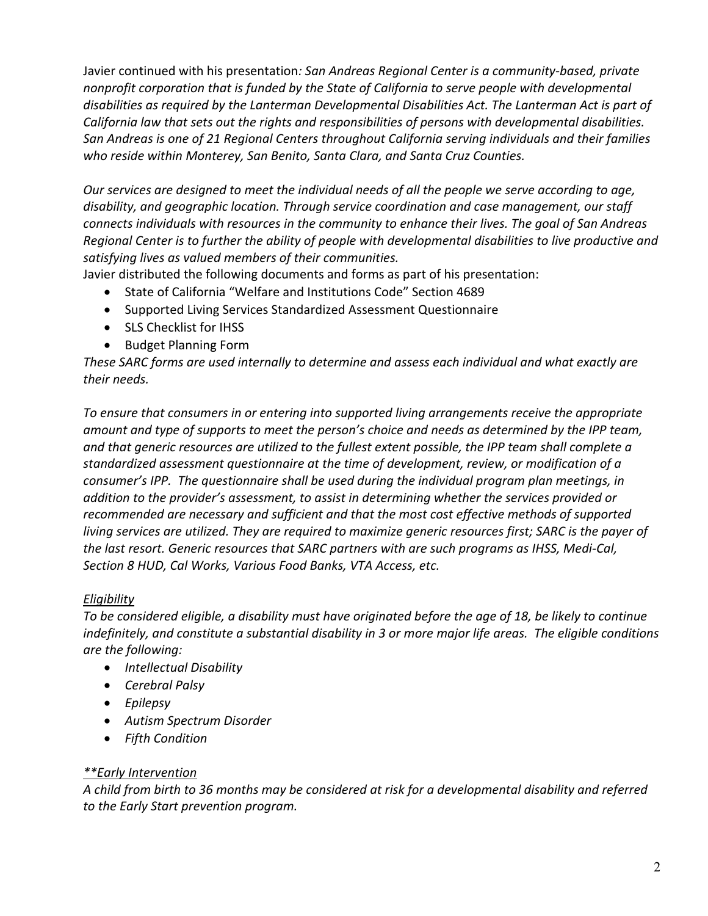Javier continued with his presentation*: San Andreas Regional Center is a community‐based, private nonprofit corporation that is funded by the State of California to serve people with developmental disabilities as required by the Lanterman Developmental Disabilities Act. The Lanterman Act is part of California law that sets out the rights and responsibilities of persons with developmental disabilities. San Andreas is one of 21 Regional Centers throughout California serving individuals and their families who reside within Monterey, San Benito, Santa Clara, and Santa Cruz Counties.* 

*Our services are designed to meet the individual needs of all the people we serve according to age, disability, and geographic location. Through service coordination and case management, our staff connects individuals with resources in the community to enhance their lives. The goal of San Andreas Regional Center is to further the ability of people with developmental disabilities to live productive and satisfying lives as valued members of their communities.* 

Javier distributed the following documents and forms as part of his presentation:

- State of California "Welfare and Institutions Code" Section 4689
- Supported Living Services Standardized Assessment Questionnaire
- SLS Checklist for IHSS
- Budget Planning Form

*These SARC forms are used internally to determine and assess each individual and what exactly are their needs.* 

*To ensure that consumers in or entering into supported living arrangements receive the appropriate amount and type of supports to meet the person's choice and needs as determined by the IPP team, and that generic resources are utilized to the fullest extent possible, the IPP team shall complete a standardized assessment questionnaire at the time of development, review, or modification of a consumer's IPP. The questionnaire shall be used during the individual program plan meetings, in addition to the provider's assessment, to assist in determining whether the services provided or recommended are necessary and sufficient and that the most cost effective methods of supported living services are utilized. They are required to maximize generic resources first; SARC is the payer of the last resort. Generic resources that SARC partners with are such programs as IHSS, Medi‐Cal, Section 8 HUD, Cal Works, Various Food Banks, VTA Access, etc.* 

## *Eligibility*

*To be considered eligible, a disability must have originated before the age of 18, be likely to continue indefinitely, and constitute a substantial disability in 3 or more major life areas. The eligible conditions are the following:* 

- *Intellectual Disability*
- *Cerebral Palsy*
- *Epilepsy*
- *Autism Spectrum Disorder*
- *Fifth Condition*

## *\*\*Early Intervention*

*A child from birth to 36 months may be considered at risk for a developmental disability and referred to the Early Start prevention program.*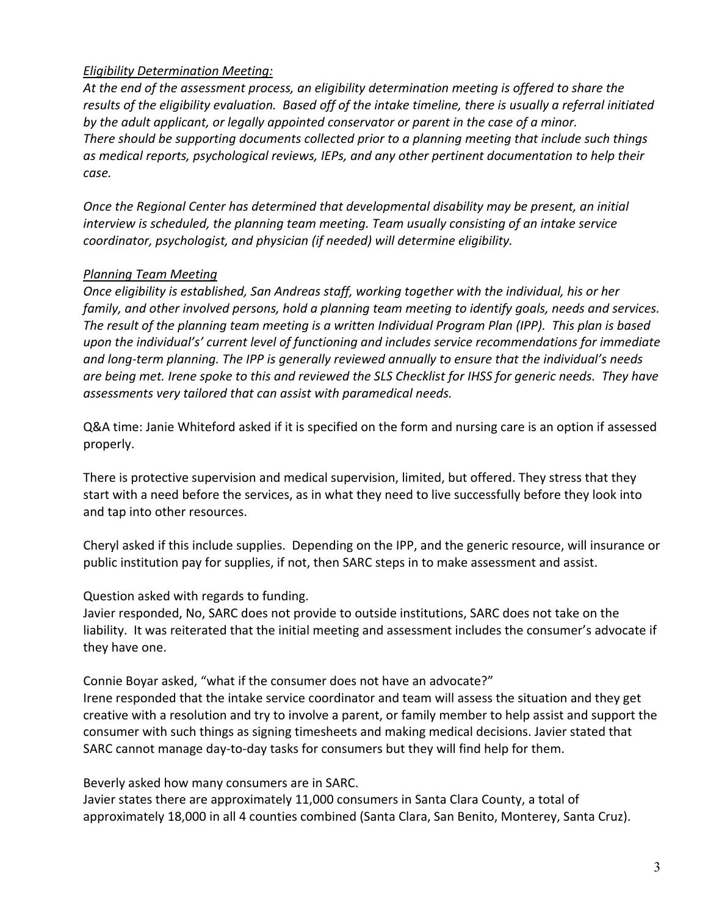## *Eligibility Determination Meeting:*

*At the end of the assessment process, an eligibility determination meeting is offered to share the results of the eligibility evaluation. Based off of the intake timeline, there is usually a referral initiated by the adult applicant, or legally appointed conservator or parent in the case of a minor. There should be supporting documents collected prior to a planning meeting that include such things as medical reports, psychological reviews, IEPs, and any other pertinent documentation to help their case.* 

*Once the Regional Center has determined that developmental disability may be present, an initial interview is scheduled, the planning team meeting. Team usually consisting of an intake service coordinator, psychologist, and physician (if needed) will determine eligibility.* 

## *Planning Team Meeting*

*Once eligibility is established, San Andreas staff, working together with the individual, his or her family, and other involved persons, hold a planning team meeting to identify goals, needs and services. The result of the planning team meeting is a written Individual Program Plan (IPP). This plan is based upon the individual's' current level of functioning and includes service recommendations for immediate and long‐term planning. The IPP is generally reviewed annually to ensure that the individual's needs are being met. Irene spoke to this and reviewed the SLS Checklist for IHSS for generic needs. They have*  assessments very tailored that can assist with paramedical needs.

Q&A time: Janie Whiteford asked if it is specified on the form and nursing care is an option if assessed properly.

There is protective supervision and medical supervision, limited, but offered. They stress that they start with a need before the services, as in what they need to live successfully before they look into and tap into other resources.

Cheryl asked if this include supplies. Depending on the IPP, and the generic resource, will insurance or public institution pay for supplies, if not, then SARC steps in to make assessment and assist.

## Question asked with regards to funding.

Javier responded, No, SARC does not provide to outside institutions, SARC does not take on the liability. It was reiterated that the initial meeting and assessment includes the consumer's advocate if they have one.

Connie Boyar asked, "what if the consumer does not have an advocate?" Irene responded that the intake service coordinator and team will assess the situation and they get creative with a resolution and try to involve a parent, or family member to help assist and support the consumer with such things as signing timesheets and making medical decisions. Javier stated that SARC cannot manage day‐to‐day tasks for consumers but they will find help for them.

Beverly asked how many consumers are in SARC.

Javier states there are approximately 11,000 consumers in Santa Clara County, a total of approximately 18,000 in all 4 counties combined (Santa Clara, San Benito, Monterey, Santa Cruz).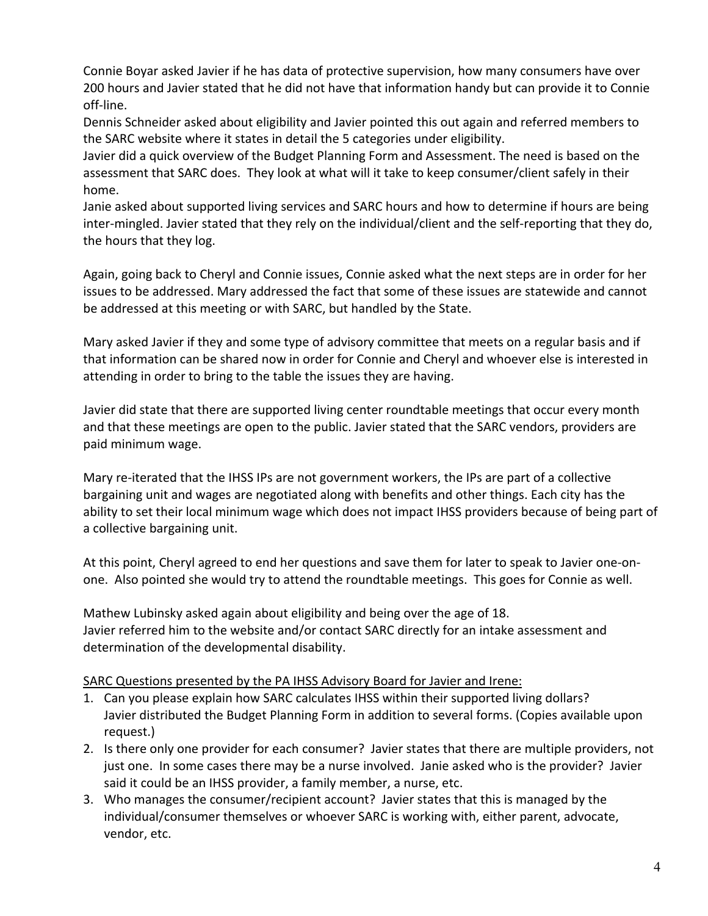Connie Boyar asked Javier if he has data of protective supervision, how many consumers have over 200 hours and Javier stated that he did not have that information handy but can provide it to Connie off‐line.

Dennis Schneider asked about eligibility and Javier pointed this out again and referred members to the SARC website where it states in detail the 5 categories under eligibility.

Javier did a quick overview of the Budget Planning Form and Assessment. The need is based on the assessment that SARC does. They look at what will it take to keep consumer/client safely in their home.

Janie asked about supported living services and SARC hours and how to determine if hours are being inter‐mingled. Javier stated that they rely on the individual/client and the self‐reporting that they do, the hours that they log.

Again, going back to Cheryl and Connie issues, Connie asked what the next steps are in order for her issues to be addressed. Mary addressed the fact that some of these issues are statewide and cannot be addressed at this meeting or with SARC, but handled by the State.

Mary asked Javier if they and some type of advisory committee that meets on a regular basis and if that information can be shared now in order for Connie and Cheryl and whoever else is interested in attending in order to bring to the table the issues they are having.

Javier did state that there are supported living center roundtable meetings that occur every month and that these meetings are open to the public. Javier stated that the SARC vendors, providers are paid minimum wage.

Mary re-iterated that the IHSS IPs are not government workers, the IPs are part of a collective bargaining unit and wages are negotiated along with benefits and other things. Each city has the ability to set their local minimum wage which does not impact IHSS providers because of being part of a collective bargaining unit.

At this point, Cheryl agreed to end her questions and save them for later to speak to Javier one‐on‐ one. Also pointed she would try to attend the roundtable meetings. This goes for Connie as well.

Mathew Lubinsky asked again about eligibility and being over the age of 18. Javier referred him to the website and/or contact SARC directly for an intake assessment and determination of the developmental disability.

## SARC Questions presented by the PA IHSS Advisory Board for Javier and Irene:

- 1. Can you please explain how SARC calculates IHSS within their supported living dollars? Javier distributed the Budget Planning Form in addition to several forms. (Copies available upon request.)
- 2. Is there only one provider for each consumer? Javier states that there are multiple providers, not just one. In some cases there may be a nurse involved. Janie asked who is the provider? Javier said it could be an IHSS provider, a family member, a nurse, etc.
- 3. Who manages the consumer/recipient account? Javier states that this is managed by the individual/consumer themselves or whoever SARC is working with, either parent, advocate, vendor, etc.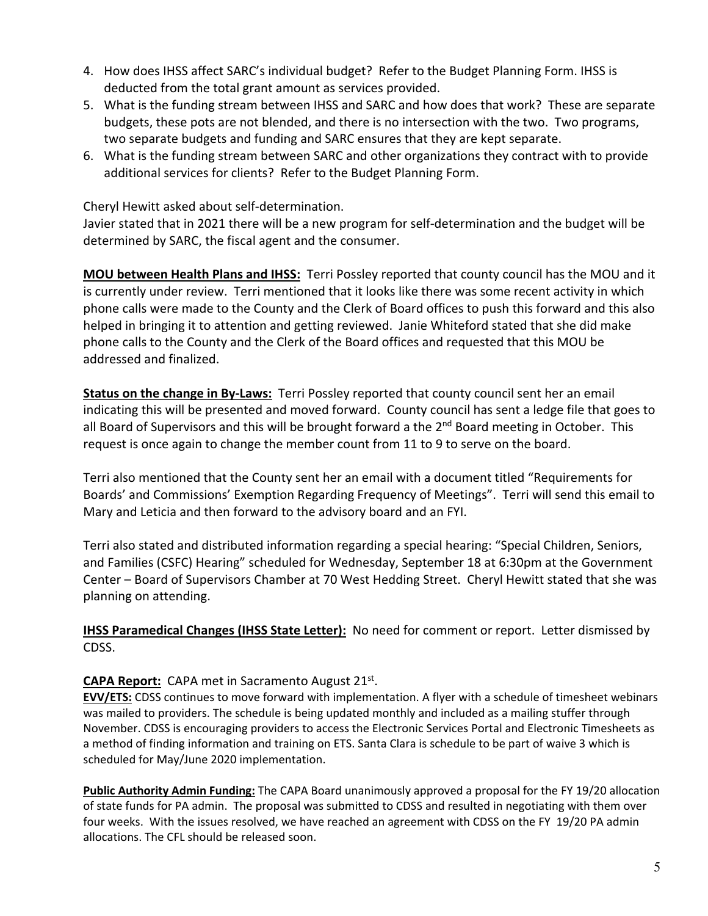- 4. How does IHSS affect SARC's individual budget? Refer to the Budget Planning Form. IHSS is deducted from the total grant amount as services provided.
- 5. What is the funding stream between IHSS and SARC and how does that work? These are separate budgets, these pots are not blended, and there is no intersection with the two. Two programs, two separate budgets and funding and SARC ensures that they are kept separate.
- 6. What is the funding stream between SARC and other organizations they contract with to provide additional services for clients? Refer to the Budget Planning Form.

Cheryl Hewitt asked about self‐determination.

Javier stated that in 2021 there will be a new program for self‐determination and the budget will be determined by SARC, the fiscal agent and the consumer.

**MOU between Health Plans and IHSS:** Terri Possley reported that county council has the MOU and it is currently under review. Terri mentioned that it looks like there was some recent activity in which phone calls were made to the County and the Clerk of Board offices to push this forward and this also helped in bringing it to attention and getting reviewed. Janie Whiteford stated that she did make phone calls to the County and the Clerk of the Board offices and requested that this MOU be addressed and finalized.

**Status on the change in By-Laws:** Terri Possley reported that county council sent her an email indicating this will be presented and moved forward. County council has sent a ledge file that goes to all Board of Supervisors and this will be brought forward a the 2<sup>nd</sup> Board meeting in October. This request is once again to change the member count from 11 to 9 to serve on the board.

Terri also mentioned that the County sent her an email with a document titled "Requirements for Boards' and Commissions' Exemption Regarding Frequency of Meetings". Terri will send this email to Mary and Leticia and then forward to the advisory board and an FYI.

Terri also stated and distributed information regarding a special hearing: "Special Children, Seniors, and Families (CSFC) Hearing" scheduled for Wednesday, September 18 at 6:30pm at the Government Center – Board of Supervisors Chamber at 70 West Hedding Street. Cheryl Hewitt stated that she was planning on attending.

**IHSS Paramedical Changes (IHSS State Letter):** No need for comment or report. Letter dismissed by CDSS.

## **CAPA Report:** CAPA met in Sacramento August 21st.

**EVV/ETS:** CDSS continues to move forward with implementation. A flyer with a schedule of timesheet webinars was mailed to providers. The schedule is being updated monthly and included as a mailing stuffer through November. CDSS is encouraging providers to access the Electronic Services Portal and Electronic Timesheets as a method of finding information and training on ETS. Santa Clara is schedule to be part of waive 3 which is scheduled for May/June 2020 implementation.

**Public Authority Admin Funding:** The CAPA Board unanimously approved a proposal for the FY 19/20 allocation of state funds for PA admin. The proposal was submitted to CDSS and resulted in negotiating with them over four weeks. With the issues resolved, we have reached an agreement with CDSS on the FY 19/20 PA admin allocations. The CFL should be released soon.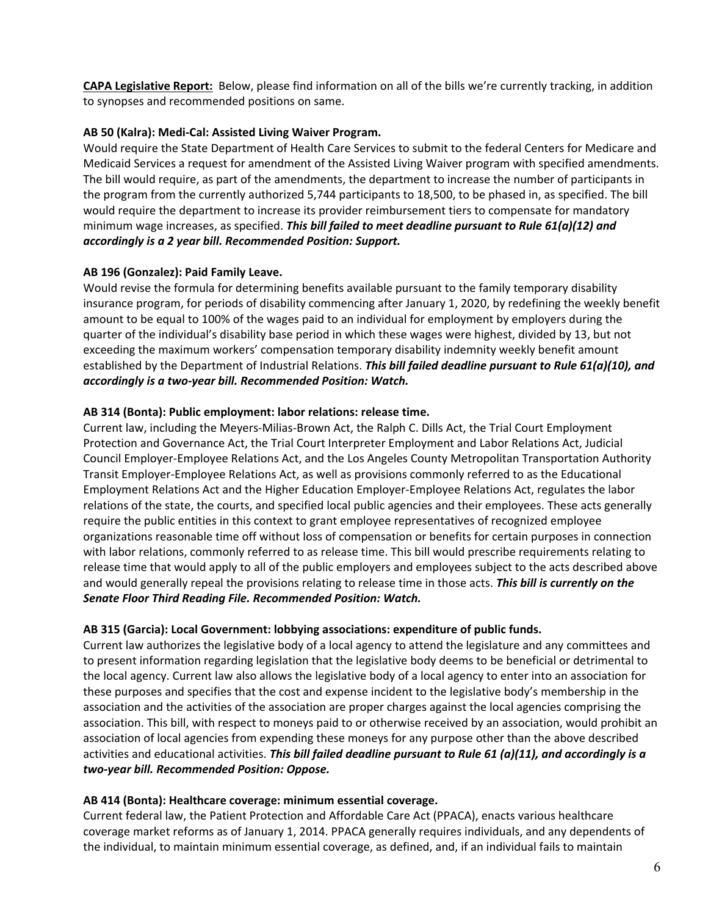**CAPA Legislative Report:** Below, please find information on all of the bills we're currently tracking, in addition to synopses and recommended positions on same.

#### **AB 50 (Kalra): Medi‐Cal: Assisted Living Waiver Program.**

Would require the State Department of Health Care Services to submit to the federal Centers for Medicare and Medicaid Services a request for amendment of the Assisted Living Waiver program with specified amendments. The bill would require, as part of the amendments, the department to increase the number of participants in the program from the currently authorized 5,744 participants to 18,500, to be phased in, as specified. The bill would require the department to increase its provider reimbursement tiers to compensate for mandatory minimum wage increases, as specified. *This bill failed to meet deadline pursuant to Rule 61(a)(12) and accordingly is a 2 year bill. Recommended Position: Support.* 

### **AB 196 (Gonzalez): Paid Family Leave.**

Would revise the formula for determining benefits available pursuant to the family temporary disability insurance program, for periods of disability commencing after January 1, 2020, by redefining the weekly benefit amount to be equal to 100% of the wages paid to an individual for employment by employers during the quarter of the individual's disability base period in which these wages were highest, divided by 13, but not exceeding the maximum workers' compensation temporary disability indemnity weekly benefit amount established by the Department of Industrial Relations. *This bill failed deadline pursuant to Rule 61(a)(10), and accordingly is a two‐year bill. Recommended Position: Watch.*

#### **AB 314 (Bonta): Public employment: labor relations: release time.**

Current law, including the Meyers‐Milias‐Brown Act, the Ralph C. Dills Act, the Trial Court Employment Protection and Governance Act, the Trial Court Interpreter Employment and Labor Relations Act, Judicial Council Employer‐Employee Relations Act, and the Los Angeles County Metropolitan Transportation Authority Transit Employer‐Employee Relations Act, as well as provisions commonly referred to as the Educational Employment Relations Act and the Higher Education Employer‐Employee Relations Act, regulates the labor relations of the state, the courts, and specified local public agencies and their employees. These acts generally require the public entities in this context to grant employee representatives of recognized employee organizations reasonable time off without loss of compensation or benefits for certain purposes in connection with labor relations, commonly referred to as release time. This bill would prescribe requirements relating to release time that would apply to all of the public employers and employees subject to the acts described above and would generally repeal the provisions relating to release time in those acts. *This bill is currently on the Senate Floor Third Reading File. Recommended Position: Watch.*

#### **AB 315 (Garcia): Local Government: lobbying associations: expenditure of public funds.**

Current law authorizes the legislative body of a local agency to attend the legislature and any committees and to present information regarding legislation that the legislative body deems to be beneficial or detrimental to the local agency. Current law also allows the legislative body of a local agency to enter into an association for these purposes and specifies that the cost and expense incident to the legislative body's membership in the association and the activities of the association are proper charges against the local agencies comprising the association. This bill, with respect to moneys paid to or otherwise received by an association, would prohibit an association of local agencies from expending these moneys for any purpose other than the above described activities and educational activities. *This bill failed deadline pursuant to Rule 61 (a)(11), and accordingly is a two‐year bill. Recommended Position: Oppose.* 

#### **AB 414 (Bonta): Healthcare coverage: minimum essential coverage.**

Current federal law, the Patient Protection and Affordable Care Act (PPACA), enacts various healthcare coverage market reforms as of January 1, 2014. PPACA generally requires individuals, and any dependents of the individual, to maintain minimum essential coverage, as defined, and, if an individual fails to maintain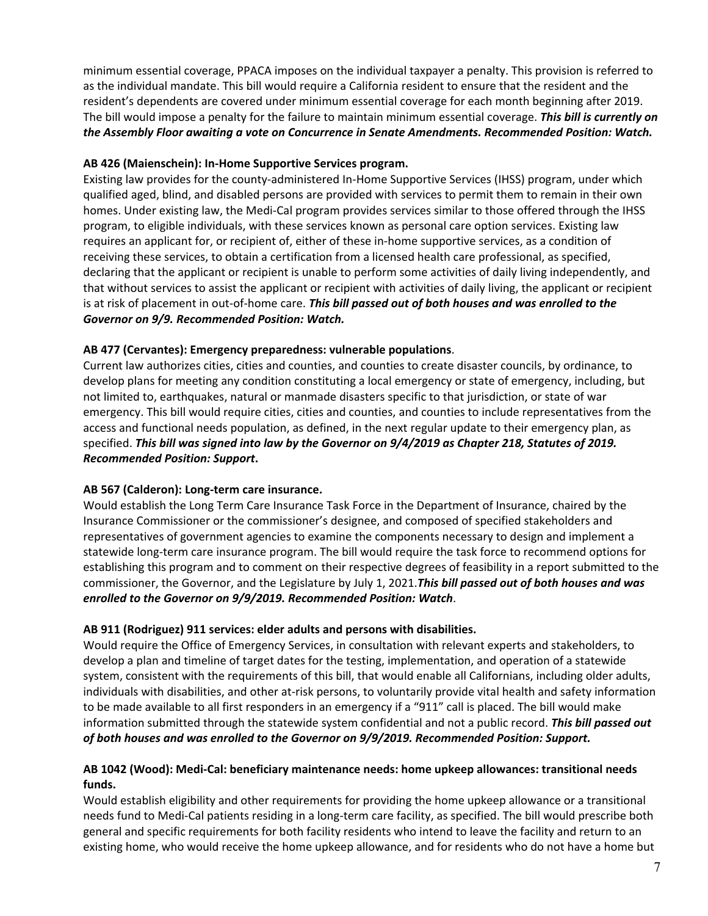minimum essential coverage, PPACA imposes on the individual taxpayer a penalty. This provision is referred to as the individual mandate. This bill would require a California resident to ensure that the resident and the resident's dependents are covered under minimum essential coverage for each month beginning after 2019. The bill would impose a penalty for the failure to maintain minimum essential coverage. *This bill is currently on the Assembly Floor awaiting a vote on Concurrence in Senate Amendments. Recommended Position: Watch.* 

#### **AB 426 (Maienschein): In‐Home Supportive Services program.**

Existing law provides for the county‐administered In‐Home Supportive Services (IHSS) program, under which qualified aged, blind, and disabled persons are provided with services to permit them to remain in their own homes. Under existing law, the Medi-Cal program provides services similar to those offered through the IHSS program, to eligible individuals, with these services known as personal care option services. Existing law requires an applicant for, or recipient of, either of these in‐home supportive services, as a condition of receiving these services, to obtain a certification from a licensed health care professional, as specified, declaring that the applicant or recipient is unable to perform some activities of daily living independently, and that without services to assist the applicant or recipient with activities of daily living, the applicant or recipient is at risk of placement in out‐of‐home care. *This bill passed out of both houses and was enrolled to the Governor on 9/9. Recommended Position: Watch.* 

### **AB 477 (Cervantes): Emergency preparedness: vulnerable populations**.

Current law authorizes cities, cities and counties, and counties to create disaster councils, by ordinance, to develop plans for meeting any condition constituting a local emergency or state of emergency, including, but not limited to, earthquakes, natural or manmade disasters specific to that jurisdiction, or state of war emergency. This bill would require cities, cities and counties, and counties to include representatives from the access and functional needs population, as defined, in the next regular update to their emergency plan, as specified. *This bill was signed into law by the Governor on 9/4/2019 as Chapter 218, Statutes of 2019. Recommended Position: Support***.**

#### **AB 567 (Calderon): Long‐term care insurance.**

Would establish the Long Term Care Insurance Task Force in the Department of Insurance, chaired by the Insurance Commissioner or the commissioner's designee, and composed of specified stakeholders and representatives of government agencies to examine the components necessary to design and implement a statewide long‐term care insurance program. The bill would require the task force to recommend options for establishing this program and to comment on their respective degrees of feasibility in a report submitted to the commissioner, the Governor, and the Legislature by July 1, 2021.*This bill passed out of both houses and was enrolled to the Governor on 9/9/2019. Recommended Position: Watch*.

#### **AB 911 (Rodriguez) 911 services: elder adults and persons with disabilities.**

Would require the Office of Emergency Services, in consultation with relevant experts and stakeholders, to develop a plan and timeline of target dates for the testing, implementation, and operation of a statewide system, consistent with the requirements of this bill, that would enable all Californians, including older adults, individuals with disabilities, and other at-risk persons, to voluntarily provide vital health and safety information to be made available to all first responders in an emergency if a "911" call is placed. The bill would make information submitted through the statewide system confidential and not a public record. *This bill passed out of both houses and was enrolled to the Governor on 9/9/2019. Recommended Position: Support.*

### **AB 1042 (Wood): Medi‐Cal: beneficiary maintenance needs: home upkeep allowances: transitional needs funds.**

Would establish eligibility and other requirements for providing the home upkeep allowance or a transitional needs fund to Medi‐Cal patients residing in a long‐term care facility, as specified. The bill would prescribe both general and specific requirements for both facility residents who intend to leave the facility and return to an existing home, who would receive the home upkeep allowance, and for residents who do not have a home but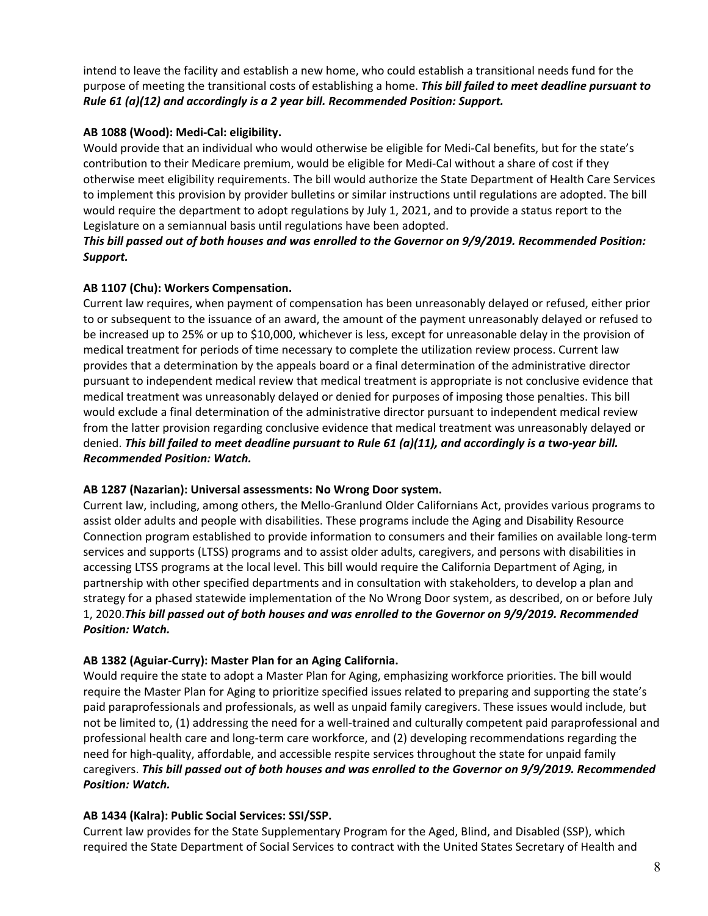intend to leave the facility and establish a new home, who could establish a transitional needs fund for the purpose of meeting the transitional costs of establishing a home. *This bill failed to meet deadline pursuant to Rule 61 (a)(12) and accordingly is a 2 year bill. Recommended Position: Support.*

### **AB 1088 (Wood): Medi‐Cal: eligibility.**

Would provide that an individual who would otherwise be eligible for Medi-Cal benefits, but for the state's contribution to their Medicare premium, would be eligible for Medi-Cal without a share of cost if they otherwise meet eligibility requirements. The bill would authorize the State Department of Health Care Services to implement this provision by provider bulletins or similar instructions until regulations are adopted. The bill would require the department to adopt regulations by July 1, 2021, and to provide a status report to the Legislature on a semiannual basis until regulations have been adopted.

### *This bill passed out of both houses and was enrolled to the Governor on 9/9/2019. Recommended Position: Support.*

### **AB 1107 (Chu): Workers Compensation.**

Current law requires, when payment of compensation has been unreasonably delayed or refused, either prior to or subsequent to the issuance of an award, the amount of the payment unreasonably delayed or refused to be increased up to 25% or up to \$10,000, whichever is less, except for unreasonable delay in the provision of medical treatment for periods of time necessary to complete the utilization review process. Current law provides that a determination by the appeals board or a final determination of the administrative director pursuant to independent medical review that medical treatment is appropriate is not conclusive evidence that medical treatment was unreasonably delayed or denied for purposes of imposing those penalties. This bill would exclude a final determination of the administrative director pursuant to independent medical review from the latter provision regarding conclusive evidence that medical treatment was unreasonably delayed or denied. *This bill failed to meet deadline pursuant to Rule 61 (a)(11), and accordingly is a two‐year bill. Recommended Position: Watch.* 

#### **AB 1287 (Nazarian): Universal assessments: No Wrong Door system.**

Current law, including, among others, the Mello‐Granlund Older Californians Act, provides various programs to assist older adults and people with disabilities. These programs include the Aging and Disability Resource Connection program established to provide information to consumers and their families on available long‐term services and supports (LTSS) programs and to assist older adults, caregivers, and persons with disabilities in accessing LTSS programs at the local level. This bill would require the California Department of Aging, in partnership with other specified departments and in consultation with stakeholders, to develop a plan and strategy for a phased statewide implementation of the No Wrong Door system, as described, on or before July 1, 2020.*This bill passed out of both houses and was enrolled to the Governor on 9/9/2019. Recommended Position: Watch.* 

### **AB 1382 (Aguiar‐Curry): Master Plan for an Aging California.**

Would require the state to adopt a Master Plan for Aging, emphasizing workforce priorities. The bill would require the Master Plan for Aging to prioritize specified issues related to preparing and supporting the state's paid paraprofessionals and professionals, as well as unpaid family caregivers. These issues would include, but not be limited to, (1) addressing the need for a well-trained and culturally competent paid paraprofessional and professional health care and long‐term care workforce, and (2) developing recommendations regarding the need for high-quality, affordable, and accessible respite services throughout the state for unpaid family caregivers. *This bill passed out of both houses and was enrolled to the Governor on 9/9/2019. Recommended Position: Watch.* 

### **AB 1434 (Kalra): Public Social Services: SSI/SSP.**

Current law provides for the State Supplementary Program for the Aged, Blind, and Disabled (SSP), which required the State Department of Social Services to contract with the United States Secretary of Health and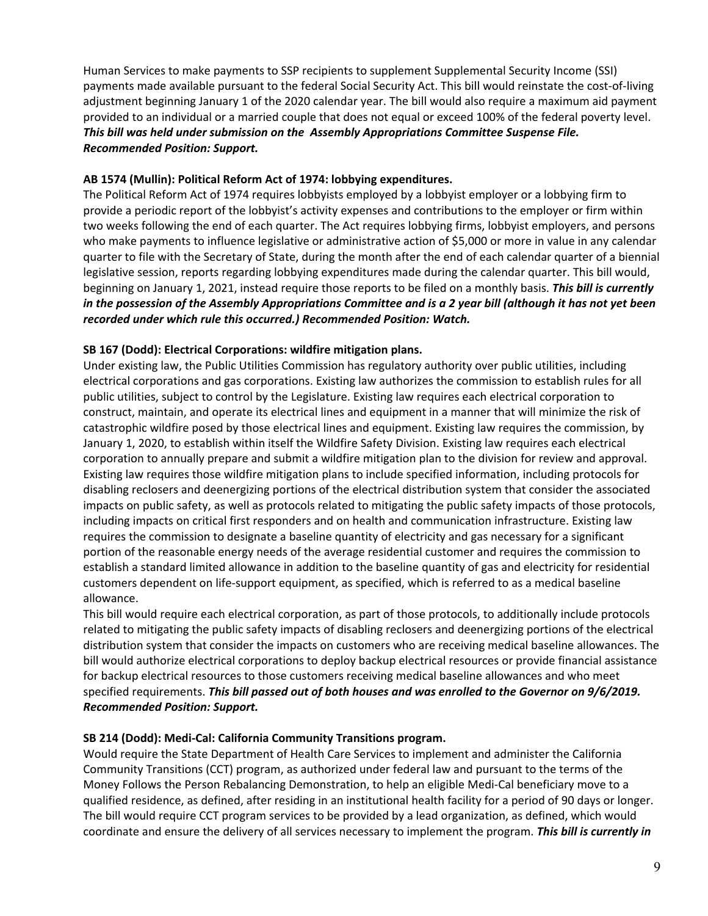Human Services to make payments to SSP recipients to supplement Supplemental Security Income (SSI) payments made available pursuant to the federal Social Security Act. This bill would reinstate the cost‐of‐living adjustment beginning January 1 of the 2020 calendar year. The bill would also require a maximum aid payment provided to an individual or a married couple that does not equal or exceed 100% of the federal poverty level. *This bill was held under submission on the Assembly Appropriations Committee Suspense File. Recommended Position: Support.*

### **AB 1574 (Mullin): Political Reform Act of 1974: lobbying expenditures.**

The Political Reform Act of 1974 requires lobbyists employed by a lobbyist employer or a lobbying firm to provide a periodic report of the lobbyist's activity expenses and contributions to the employer or firm within two weeks following the end of each quarter. The Act requires lobbying firms, lobbyist employers, and persons who make payments to influence legislative or administrative action of \$5,000 or more in value in any calendar quarter to file with the Secretary of State, during the month after the end of each calendar quarter of a biennial legislative session, reports regarding lobbying expenditures made during the calendar quarter. This bill would, beginning on January 1, 2021, instead require those reports to be filed on a monthly basis. *This bill is currently in the possession of the Assembly Appropriations Committee and is a 2 year bill (although it has not yet been recorded under which rule this occurred.) Recommended Position: Watch.*

### **SB 167 (Dodd): Electrical Corporations: wildfire mitigation plans.**

Under existing law, the Public Utilities Commission has regulatory authority over public utilities, including electrical corporations and gas corporations. Existing law authorizes the commission to establish rules for all public utilities, subject to control by the Legislature. Existing law requires each electrical corporation to construct, maintain, and operate its electrical lines and equipment in a manner that will minimize the risk of catastrophic wildfire posed by those electrical lines and equipment. Existing law requires the commission, by January 1, 2020, to establish within itself the Wildfire Safety Division. Existing law requires each electrical corporation to annually prepare and submit a wildfire mitigation plan to the division for review and approval. Existing law requires those wildfire mitigation plans to include specified information, including protocols for disabling reclosers and deenergizing portions of the electrical distribution system that consider the associated impacts on public safety, as well as protocols related to mitigating the public safety impacts of those protocols, including impacts on critical first responders and on health and communication infrastructure. Existing law requires the commission to designate a baseline quantity of electricity and gas necessary for a significant portion of the reasonable energy needs of the average residential customer and requires the commission to establish a standard limited allowance in addition to the baseline quantity of gas and electricity for residential customers dependent on life‐support equipment, as specified, which is referred to as a medical baseline allowance.

This bill would require each electrical corporation, as part of those protocols, to additionally include protocols related to mitigating the public safety impacts of disabling reclosers and deenergizing portions of the electrical distribution system that consider the impacts on customers who are receiving medical baseline allowances. The bill would authorize electrical corporations to deploy backup electrical resources or provide financial assistance for backup electrical resources to those customers receiving medical baseline allowances and who meet specified requirements. *This bill passed out of both houses and was enrolled to the Governor on 9/6/2019. Recommended Position: Support.* 

#### **SB 214 (Dodd): Medi‐Cal: California Community Transitions program.**

Would require the State Department of Health Care Services to implement and administer the California Community Transitions (CCT) program, as authorized under federal law and pursuant to the terms of the Money Follows the Person Rebalancing Demonstration, to help an eligible Medi‐Cal beneficiary move to a qualified residence, as defined, after residing in an institutional health facility for a period of 90 days or longer. The bill would require CCT program services to be provided by a lead organization, as defined, which would coordinate and ensure the delivery of all services necessary to implement the program. *This bill is currently in*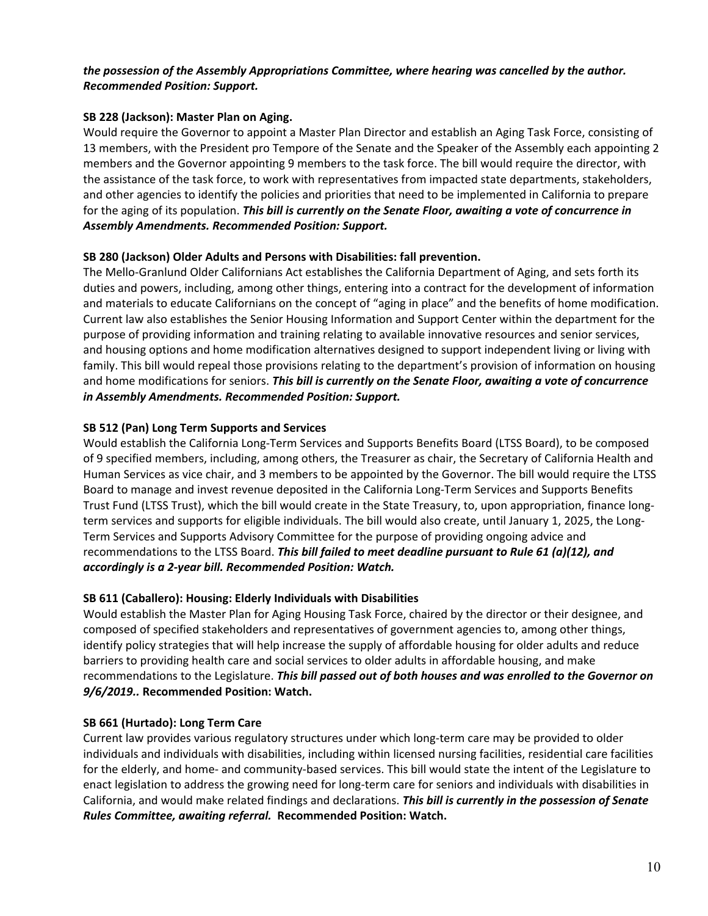### *the possession of the Assembly Appropriations Committee, where hearing was cancelled by the author. Recommended Position: Support.*

### **SB 228 (Jackson): Master Plan on Aging.**

Would require the Governor to appoint a Master Plan Director and establish an Aging Task Force, consisting of 13 members, with the President pro Tempore of the Senate and the Speaker of the Assembly each appointing 2 members and the Governor appointing 9 members to the task force. The bill would require the director, with the assistance of the task force, to work with representatives from impacted state departments, stakeholders, and other agencies to identify the policies and priorities that need to be implemented in California to prepare for the aging of its population. *This bill is currently on the Senate Floor, awaiting a vote of concurrence in Assembly Amendments. Recommended Position: Support.* 

### **SB 280 (Jackson) Older Adults and Persons with Disabilities: fall prevention.**

The Mello‐Granlund Older Californians Act establishes the California Department of Aging, and sets forth its duties and powers, including, among other things, entering into a contract for the development of information and materials to educate Californians on the concept of "aging in place" and the benefits of home modification. Current law also establishes the Senior Housing Information and Support Center within the department for the purpose of providing information and training relating to available innovative resources and senior services, and housing options and home modification alternatives designed to support independent living or living with family. This bill would repeal those provisions relating to the department's provision of information on housing and home modifications for seniors. *This bill is currently on the Senate Floor, awaiting a vote of concurrence in Assembly Amendments. Recommended Position: Support.* 

### **SB 512 (Pan) Long Term Supports and Services**

Would establish the California Long-Term Services and Supports Benefits Board (LTSS Board), to be composed of 9 specified members, including, among others, the Treasurer as chair, the Secretary of California Health and Human Services as vice chair, and 3 members to be appointed by the Governor. The bill would require the LTSS Board to manage and invest revenue deposited in the California Long‐Term Services and Supports Benefits Trust Fund (LTSS Trust), which the bill would create in the State Treasury, to, upon appropriation, finance long‐ term services and supports for eligible individuals. The bill would also create, until January 1, 2025, the Long-Term Services and Supports Advisory Committee for the purpose of providing ongoing advice and recommendations to the LTSS Board. *This bill failed to meet deadline pursuant to Rule 61 (a)(12), and accordingly is a 2‐year bill. Recommended Position: Watch.* 

### **SB 611 (Caballero): Housing: Elderly Individuals with Disabilities**

Would establish the Master Plan for Aging Housing Task Force, chaired by the director or their designee, and composed of specified stakeholders and representatives of government agencies to, among other things, identify policy strategies that will help increase the supply of affordable housing for older adults and reduce barriers to providing health care and social services to older adults in affordable housing, and make recommendations to the Legislature. *This bill passed out of both houses and was enrolled to the Governor on 9/6/2019..* **Recommended Position: Watch.** 

#### **SB 661 (Hurtado): Long Term Care**

Current law provides various regulatory structures under which long‐term care may be provided to older individuals and individuals with disabilities, including within licensed nursing facilities, residential care facilities for the elderly, and home‐ and community‐based services. This bill would state the intent of the Legislature to enact legislation to address the growing need for long-term care for seniors and individuals with disabilities in California, and would make related findings and declarations. *This bill is currently in the possession of Senate Rules Committee, awaiting referral.* **Recommended Position: Watch.**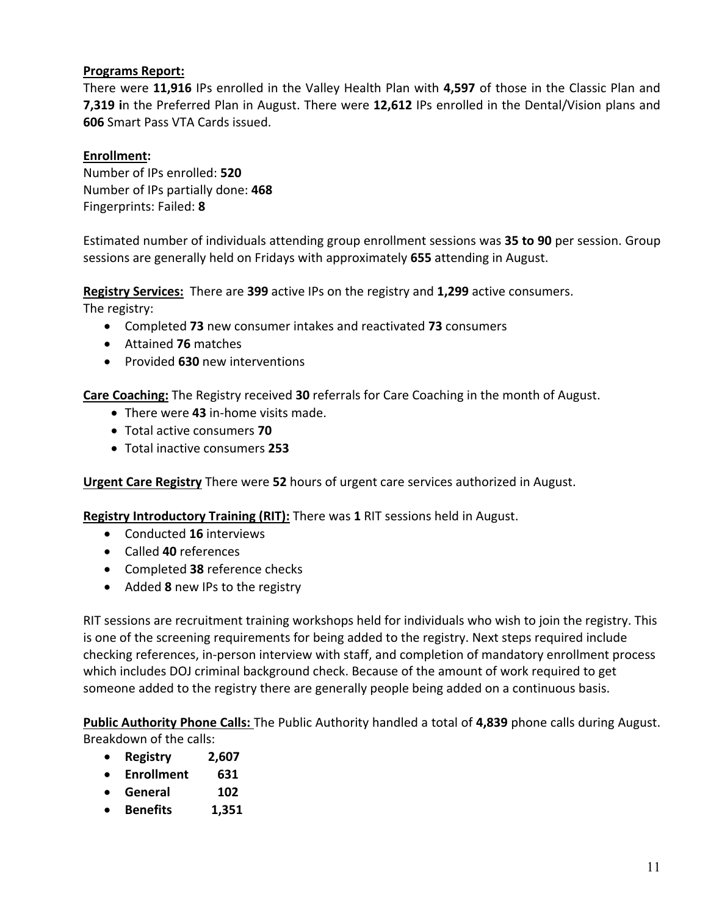## **Programs Report:**

There were **11,916** IPs enrolled in the Valley Health Plan with **4,597** of those in the Classic Plan and **7,319 i**n the Preferred Plan in August. There were **12,612** IPs enrolled in the Dental/Vision plans and **606** Smart Pass VTA Cards issued.

## **Enrollment:**

Number of IPs enrolled: **520**  Number of IPs partially done: **468** Fingerprints: Failed: **8**

Estimated number of individuals attending group enrollment sessions was **35 to 90** per session. Group sessions are generally held on Fridays with approximately **655** attending in August.

**Registry Services:** There are **399** active IPs on the registry and **1,299** active consumers. The registry:

- Completed **73** new consumer intakes and reactivated **73** consumers
- Attained **76** matches
- Provided **630** new interventions

**Care Coaching:** The Registry received **30** referrals for Care Coaching in the month of August.

- There were **43** in‐home visits made.
- Total active consumers **70**
- Total inactive consumers **253**

**Urgent Care Registry** There were **52** hours of urgent care services authorized in August.

**Registry Introductory Training (RIT):** There was **1** RIT sessions held in August.

- Conducted **16** interviews
- Called **40** references
- Completed **38** reference checks
- Added **8** new IPs to the registry

RIT sessions are recruitment training workshops held for individuals who wish to join the registry. This is one of the screening requirements for being added to the registry. Next steps required include checking references, in‐person interview with staff, and completion of mandatory enrollment process which includes DOJ criminal background check. Because of the amount of work required to get someone added to the registry there are generally people being added on a continuous basis.

**Public Authority Phone Calls:** The Public Authority handled a total of **4,839** phone calls during August. Breakdown of the calls:

- **Registry 2,607**
- **Enrollment 631**
- **General 102**
- **Benefits 1,351**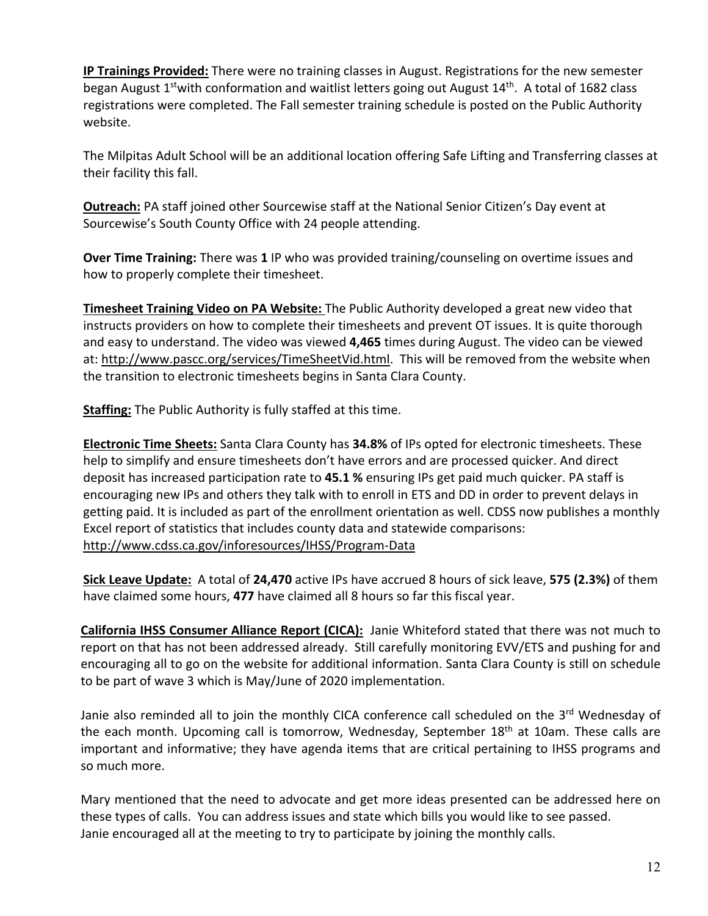**IP Trainings Provided:** There were no training classes in August. Registrations for the new semester began August 1<sup>st</sup>with conformation and waitlist letters going out August 14<sup>th</sup>. A total of 1682 class registrations were completed. The Fall semester training schedule is posted on the Public Authority website.

The Milpitas Adult School will be an additional location offering Safe Lifting and Transferring classes at their facility this fall.

**Outreach:** PA staff joined other Sourcewise staff at the National Senior Citizen's Day event at Sourcewise's South County Office with 24 people attending.

**Over Time Training:** There was **1** IP who was provided training/counseling on overtime issues and how to properly complete their timesheet.

**Timesheet Training Video on PA Website:** The Public Authority developed a great new video that instructs providers on how to complete their timesheets and prevent OT issues. It is quite thorough and easy to understand. The video was viewed **4,465** times during August. The video can be viewed at: http://www.pascc.org/services/TimeSheetVid.html. This will be removed from the website when the transition to electronic timesheets begins in Santa Clara County.

**Staffing:** The Public Authority is fully staffed at this time.

**Electronic Time Sheets:** Santa Clara County has **34.8%** of IPs opted for electronic timesheets. These help to simplify and ensure timesheets don't have errors and are processed quicker. And direct deposit has increased participation rate to **45.1 %** ensuring IPs get paid much quicker. PA staff is encouraging new IPs and others they talk with to enroll in ETS and DD in order to prevent delays in getting paid. It is included as part of the enrollment orientation as well. CDSS now publishes a monthly Excel report of statistics that includes county data and statewide comparisons: http://www.cdss.ca.gov/inforesources/IHSS/Program‐Data

**Sick Leave Update:** A total of **24,470** active IPs have accrued 8 hours of sick leave, **575 (2.3%)** of them have claimed some hours, **477** have claimed all 8 hours so far this fiscal year.

**California IHSS Consumer Alliance Report (CICA):** Janie Whiteford stated that there was not much to report on that has not been addressed already. Still carefully monitoring EVV/ETS and pushing for and encouraging all to go on the website for additional information. Santa Clara County is still on schedule to be part of wave 3 which is May/June of 2020 implementation.

Janie also reminded all to join the monthly CICA conference call scheduled on the 3<sup>rd</sup> Wednesday of the each month. Upcoming call is tomorrow, Wednesday, September 18<sup>th</sup> at 10am. These calls are important and informative; they have agenda items that are critical pertaining to IHSS programs and so much more.

Mary mentioned that the need to advocate and get more ideas presented can be addressed here on these types of calls. You can address issues and state which bills you would like to see passed. Janie encouraged all at the meeting to try to participate by joining the monthly calls.